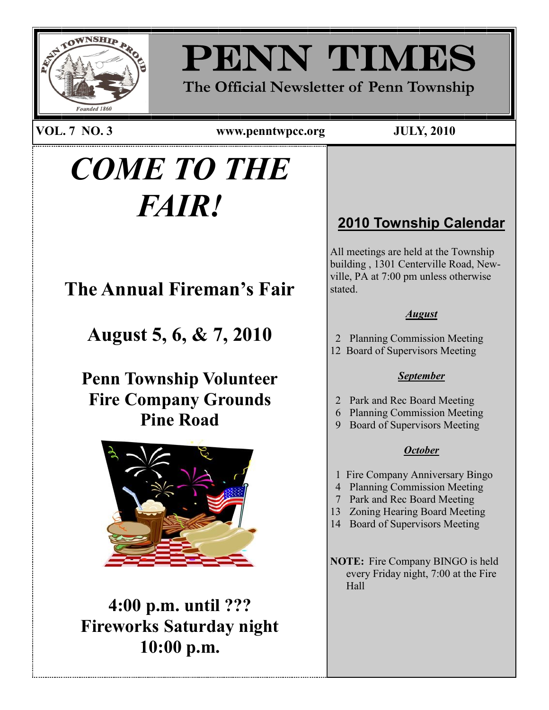

# PENN TIMES

**The Official Newsletter of Penn Township**

**VOL. 7 NO. 3 www.penntwpcc.org JULY, 2010**

PAGE 1

# *COME TO THE FAIR!*

**The Annual Fireman's Fair**

**August 5, 6, & 7, 2010**

**Penn Township Volunteer Fire Company Grounds Pine Road**



**4:00 p.m. until ??? Fireworks Saturday night 10:00 p.m.**

### **2010 Township Calendar**

All meetings are held at the Township building , 1301 Centerville Road, Newville, PA at 7:00 pm unless otherwise stated.

### *August*

- 2 Planning Commission Meeting
- 12 Board of Supervisors Meeting

### *September*

- 2 Park and Rec Board Meeting
- 6 Planning Commission Meeting
- 9 Board of Supervisors Meeting

### *October*

- 1 Fire Company Anniversary Bingo
- 4 Planning Commission Meeting
- 7 Park and Rec Board Meeting
- 13 Zoning Hearing Board Meeting
- 14 Board of Supervisors Meeting

**NOTE:** Fire Company BINGO is held every Friday night, 7:00 at the Fire Hall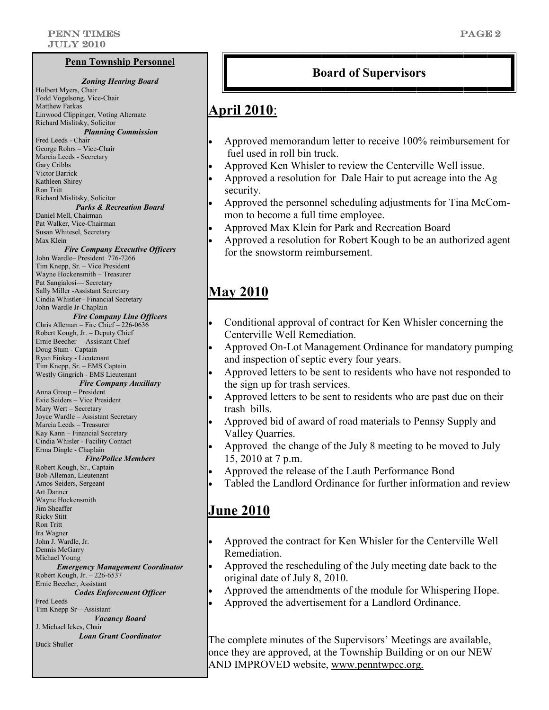#### **Penn Township Personnel**

*Zoning Hearing Board*  Holbert Myers, Chair Todd Vogelsong, Vice-Chair Matthew Farkas Linwood Clippinger, Voting Alternate Richard Mislitsky, Solicitor *Planning Commission* Fred Leeds - Chair George Rohrs – Vice-Chair Marcia Leeds - Secretary Gary Cribbs Victor Barrick Kathleen Shirey Ron Tritt Richard Mislitsky, Solicitor *Parks & Recreation Board* Daniel Mell, Chairman Pat Walker, Vice-Chairman Susan Whitesel, Secretary Max Klein *Fire Company Executive Officers* John Wardle– President 776-7266 Tim Knepp, Sr. – Vice President Wayne Hockensmith – Treasurer Pat Sangialosi— Secretary Sally Miller -Assistant Secretary Cindia Whistler– Financial Secretary John Wardle Jr-Chaplain *Fire Company Line Officers* Chris Alleman – Fire Chief – 226-0636 Robert Kough, Jr. – Deputy Chief Ernie Beecher— Assistant Chief Doug Stum - Captain Ryan Finkey - Lieutenant Tim Knepp, Sr. – EMS Captain Westly Gingrich - EMS Lieutenant *Fire Company Auxiliary*  Anna Group – President Evie Seiders – Vice President Mary Wert – Secretary Joyce Wardle – Assistant Secretary Marcia Leeds – Treasurer Kay Kann – Financial Secretary Cindia Whisler - Facility Contact Erma Dingle - Chaplain *Fire/Police Members* Robert Kough, Sr., Captain Bob Alleman, Lieutenant Amos Seiders, Sergeant Art Danner Wayne Hockensmith Jim Sheaffer Ricky Stitt Ron Tritt Ira Wagner John J. Wardle, Jr. Dennis McGarry Michael Young *Emergency Management Coordinator* Robert Kough, Jr. – 226-6537 Ernie Beecher, Assistant *Codes Enforcement Officer* Fred Leeds Tim Knepp Sr—Assistant *Vacancy Board* J. Michael Ickes, Chair *Loan Grant Coordinator* Buck Shuller

### **Board of Supervisors**

### **April 2010**:

- Approved memorandum letter to receive 100% reimbursement for fuel used in roll bin truck.
- Approved Ken Whisler to review the Centerville Well issue.
- Approved a resolution for Dale Hair to put acreage into the Ag security.
- Approved the personnel scheduling adjustments for Tina McCommon to become a full time employee.
- Approved Max Klein for Park and Recreation Board
- Approved a resolution for Robert Kough to be an authorized agent for the snowstorm reimbursement.

### **May 2010**

- Conditional approval of contract for Ken Whisler concerning the Centerville Well Remediation.
- Approved On-Lot Management Ordinance for mandatory pumping and inspection of septic every four years.
- Approved letters to be sent to residents who have not responded to the sign up for trash services.
- Approved letters to be sent to residents who are past due on their trash bills.
- Approved bid of award of road materials to Pennsy Supply and Valley Quarries.
- Approved the change of the July 8 meeting to be moved to July 15, 2010 at 7 p.m.
- Approved the release of the Lauth Performance Bond
- Tabled the Landlord Ordinance for further information and review

### **June 2010**

- Approved the contract for Ken Whisler for the Centerville Well Remediation.
- Approved the rescheduling of the July meeting date back to the original date of July 8, 2010.
- Approved the amendments of the module for Whispering Hope.
- Approved the advertisement for a Landlord Ordinance.

The complete minutes of the Supervisors' Meetings are available, once they are approved, at the Township Building or on our NEW AND IMPROVED website, www.penntwpcc.org.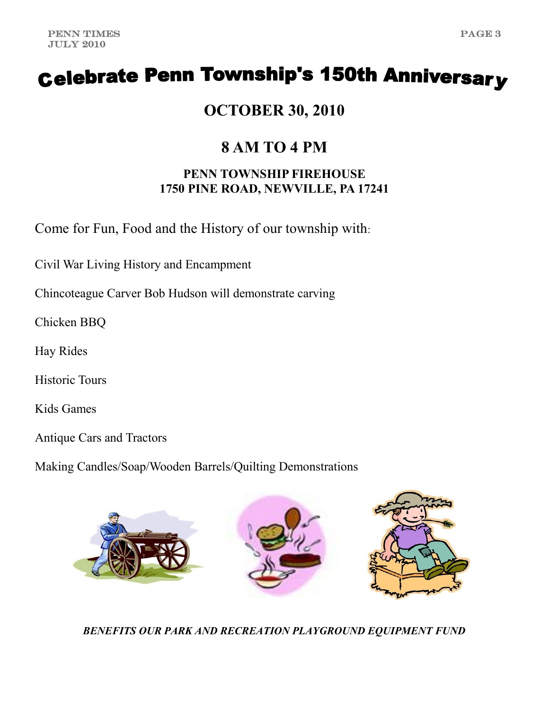## **Celebrate Penn Township's 150th Anniversary**

**OCTOBER 30, 2010**

### **8 AM TO 4 PM**

### **PENN TOWNSHIP FIREHOUSE 1750 PINE ROAD, NEWVILLE, PA 17241**

Come for Fun, Food and the History of our township with:

Civil War Living History and Encampment

Chincoteague Carver Bob Hudson will demonstrate carving

Chicken BBQ

Hay Rides

Historic Tours

Kids Games

Antique Cars and Tractors

Making Candles/Soap/Wooden Barrels/Quilting Demonstrations



*BENEFITS OUR PARK AND RECREATION PLAYGROUND EQUIPMENT FUND*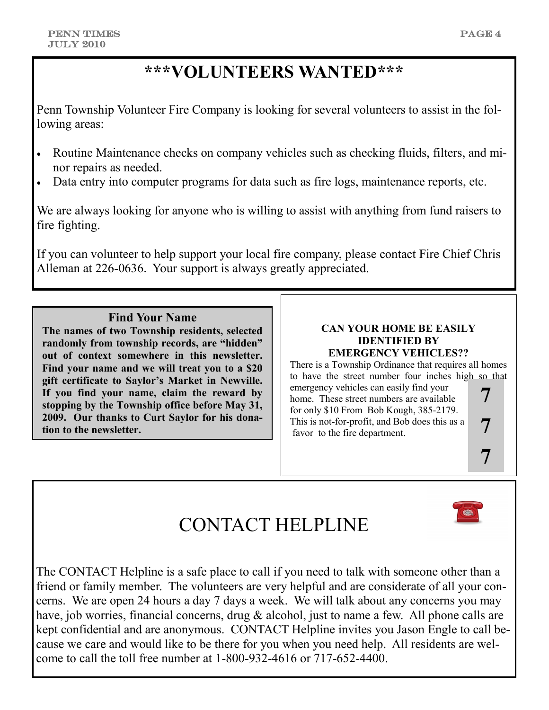**7**

 $\overline{\bullet}$ 

### **\*\*\*VOLUNTEERS WANTED\*\*\***

Penn Township Volunteer Fire Company is looking for several volunteers to assist in the following areas:

- Routine Maintenance checks on company vehicles such as checking fluids, filters, and minor repairs as needed.
- Data entry into computer programs for data such as fire logs, maintenance reports, etc.

We are always looking for anyone who is willing to assist with anything from fund raisers to fire fighting.

If you can volunteer to help support your local fire company, please contact Fire Chief Chris Alleman at 226-0636. Your support is always greatly appreciated.

### **Find Your Name**

**The names of two Township residents, selected randomly from township records, are "hidden" out of context somewhere in this newsletter. Find your name and we will treat you to a \$20 gift certificate to Saylor's Market in Newville. If you find your name, claim the reward by stopping by the Township office before May 31, 2009. Our thanks to Curt Saylor for his donation to the newsletter.**

#### **CAN YOUR HOME BE EASILY IDENTIFIED BY EMERGENCY VEHICLES??**

There is a Township Ordinance that requires all homes to have the street number four inches high so that emergency vehicles can easily find your home. These street numbers are available for only \$10 From Bob Kough, 385-2179. This is not-for-profit, and Bob does this as a favor to the fire department. **7 7**

## CONTACT HELPLINE

The CONTACT Helpline is a safe place to call if you need to talk with someone other than a friend or family member. The volunteers are very helpful and are considerate of all your concerns. We are open 24 hours a day 7 days a week. We will talk about any concerns you may have, job worries, financial concerns, drug & alcohol, just to name a few. All phone calls are kept confidential and are anonymous. CONTACT Helpline invites you Jason Engle to call because we care and would like to be there for you when you need help. All residents are welcome to call the toll free number at 1-800-932-4616 or 717-652-4400.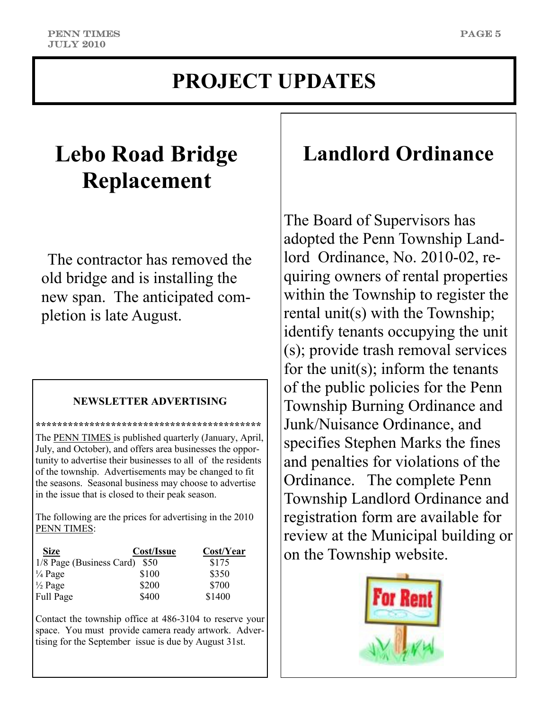### **PROJECT UPDATES**

## **Lebo Road Bridge Replacement**

The contractor has removed the old bridge and is installing the new span. The anticipated completion is late August.

### **NEWSLETTER ADVERTISING**

**\*\*\*\*\*\*\*\*\*\*\*\*\*\*\*\*\*\*\*\*\*\*\*\*\*\*\*\*\*\*\*\*\*\*\*\*\*\*\*\*\*\***

The **PENN TIMES** is published quarterly (January, April, July, and October), and offers area businesses the opportunity to advertise their businesses to all of the residents of the township. Advertisements may be changed to fit the seasons. Seasonal business may choose to advertise in the issue that is closed to their peak season.

The following are the prices for advertising in the 2010 PENN TIMES:

| <b>Size</b>              | Cost/Issue | Cost/Year |
|--------------------------|------------|-----------|
| 1/8 Page (Business Card) | <b>S50</b> | \$175     |
| $\frac{1}{4}$ Page       | \$100      | \$350     |
| $\frac{1}{2}$ Page       | \$200      | \$700     |
| Full Page                | \$400      | \$1400    |

Contact the township office at 486-3104 to reserve your space. You must provide camera ready artwork. Advertising for the September issue is due by August 31st.

### **Landlord Ordinance**

The Board of Supervisors has adopted the Penn Township Landlord Ordinance, No. 2010-02, requiring owners of rental properties within the Township to register the rental unit(s) with the Township; identify tenants occupying the unit (s); provide trash removal services for the unit(s); inform the tenants of the public policies for the Penn Township Burning Ordinance and Junk/Nuisance Ordinance, and specifies Stephen Marks the fines and penalties for violations of the Ordinance. The complete Penn Township Landlord Ordinance and registration form are available for review at the Municipal building or on the Township website.